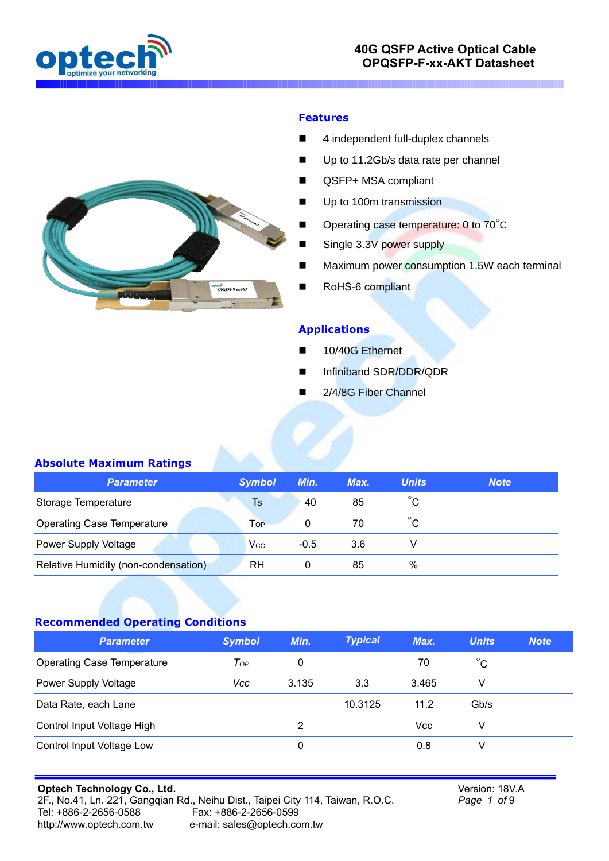

### **40G QSFP Active Optical Cable OPQSFP-F-xx-AKT Datasheet**



#### **Features**

- 4 independent full-duplex channels
- Up to 11.2Gb/s data rate per channel
- QSFP+ MSA compliant
- Up to 100m transmission
- Operating case temperature: 0 to 70°C
- Single 3.3V power supply
- Maximum power consumption 1.5W each terminal
- RoHS-6 compliant

#### **Applications**

- 10/40G Ethernet
- Infiniband SDR/DDR/QDR
- 2/4/8G Fiber Channel

#### **Absolute Maximum Ratings**

| <b>Parameter</b>                     | <b>Symbol</b> | Min.   | Max. | <b>Units</b> | <b>Note</b> |
|--------------------------------------|---------------|--------|------|--------------|-------------|
| Storage Temperature                  | Ts            | $-40$  | 85   | $^{\circ}$ C |             |
| <b>Operating Case Temperature</b>    | Top           |        | 70   | Ć            |             |
| Power Supply Voltage                 | Vcc           | $-0.5$ | 3.6  |              |             |
| Relative Humidity (non-condensation) | RH            |        | 85   | %            |             |

### **Recommended Operating Conditions**

| <b>Parameter</b>                  | <b>Symbol</b> | Min.  | <b>Typical</b> | Max.  | <b>Units</b> | <b>Note</b> |
|-----------------------------------|---------------|-------|----------------|-------|--------------|-------------|
| <b>Operating Case Temperature</b> | $T_{OP}$      | 0     |                | 70    | $^{\circ}$ C |             |
| Power Supply Voltage              | Vcc           | 3.135 | 3.3            | 3.465 | V            |             |
| Data Rate, each Lane              |               |       | 10.3125        | 11.2  | Gb/s         |             |
| Control Input Voltage High        |               | 2     |                | Vcc   | V            |             |
| Control Input Voltage Low         |               | 0     |                | 0.8   | V            |             |

#### **Optech Technology Co., Ltd.** 2F., No.41, Ln. 221, Gangqian Rd., Neihu Dist., Taipei City 114, Taiwan, R.O.C. Tel: +886-2-2656-0588 Fax: +886-2-2656-0599 [http://www.optech.com.tw](http://www.optech.com.tw/) e-mail: sales@optech.com.tw

Version: 18V.A *Page 1 of* 9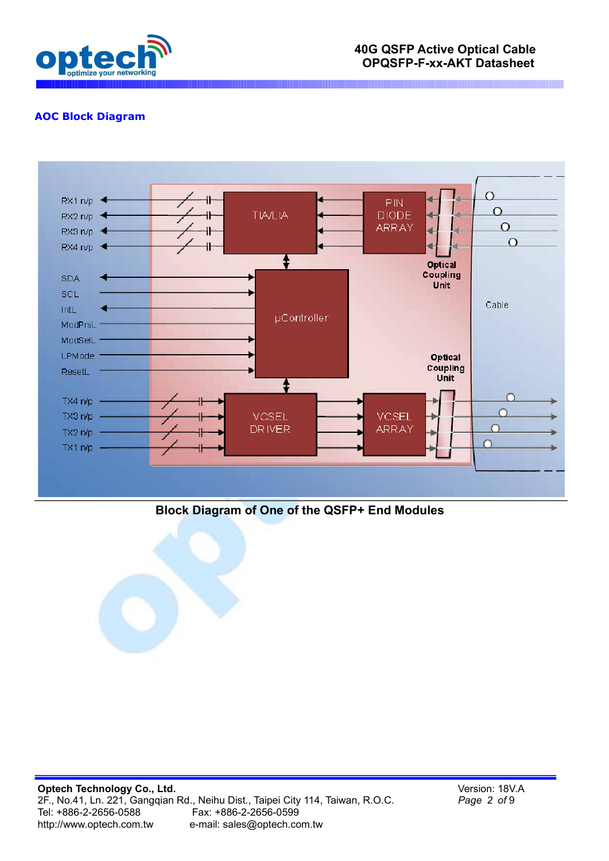

# **AOC Block Diagram**



# **Block Diagram of One of the QSFP+ End Modules**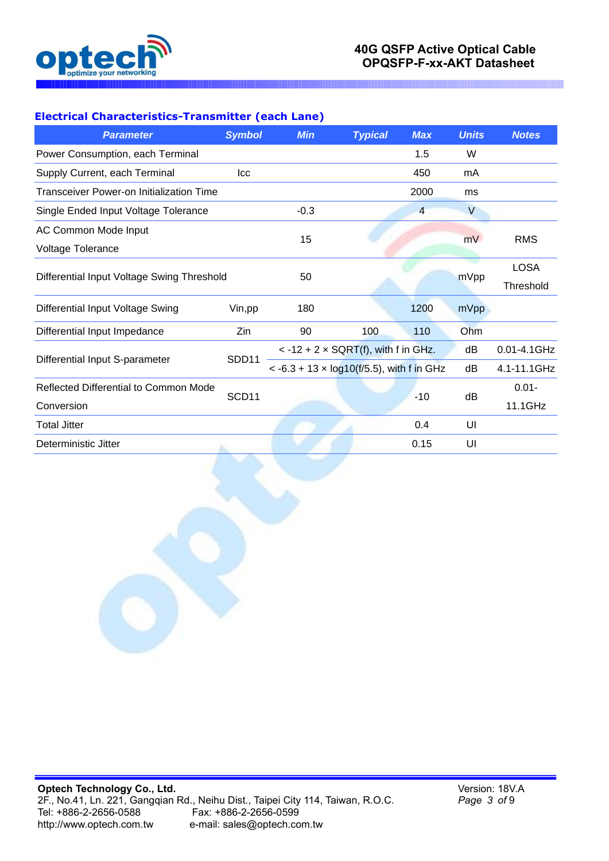

## **Electrical Characteristics-Transmitter (each Lane)**

| <b>Parameter</b>                           | <b>Symbol</b>     | <b>Min</b>                                        | <b>Typical</b>                                     | <b>Max</b>     | <b>Units</b> | <b>Notes</b> |
|--------------------------------------------|-------------------|---------------------------------------------------|----------------------------------------------------|----------------|--------------|--------------|
| Power Consumption, each Terminal           |                   |                                                   |                                                    | 1.5            | W            |              |
| Supply Current, each Terminal              | Icc               |                                                   |                                                    | 450            | mA           |              |
| Transceiver Power-on Initialization Time   |                   |                                                   |                                                    | 2000           | ms           |              |
| Single Ended Input Voltage Tolerance       |                   | $-0.3$                                            |                                                    | $\overline{4}$ | $\vee$       |              |
| AC Common Mode Input                       |                   | 15                                                |                                                    |                |              |              |
| Voltage Tolerance                          |                   |                                                   |                                                    |                | mV           | <b>RMS</b>   |
|                                            |                   |                                                   |                                                    |                |              | <b>LOSA</b>  |
| Differential Input Voltage Swing Threshold |                   | 50                                                |                                                    |                | mVpp         | Threshold    |
| Differential Input Voltage Swing           | Vin, pp           | 180                                               |                                                    | 1200           | mVpp         |              |
| Differential Input Impedance               | Zin               | 90                                                | 100                                                | 110            | Ohm          |              |
|                                            | SDD11             |                                                   | $< -12 + 2 \times \text{SQRT}(f)$ , with f in GHz. |                | dB           | 0.01-4.1GHz  |
| Differential Input S-parameter             |                   | $< -6.3 + 13 \times log10(f/5.5)$ , with f in GHz |                                                    |                | dB           | 4.1-11.1GHz  |
| Reflected Differential to Common Mode      | SCD <sub>11</sub> |                                                   |                                                    | $-10$          | dB           | $0.01 -$     |
| Conversion                                 |                   |                                                   |                                                    |                |              | 11.1GHz      |
| <b>Total Jitter</b>                        |                   |                                                   |                                                    | 0.4            | UI           |              |
| Deterministic Jitter                       |                   |                                                   |                                                    | 0.15           | UI           |              |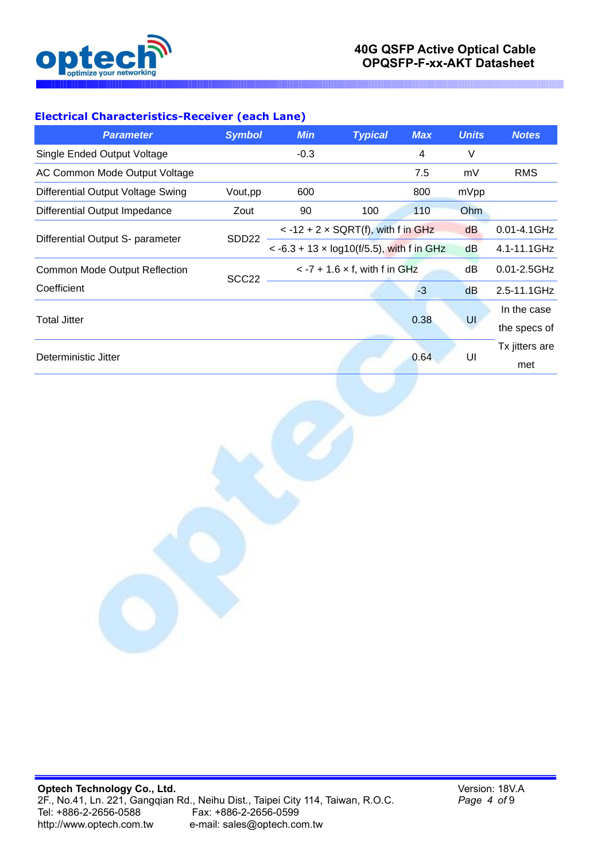

### **Electrical Characteristics-Receiver (each Lane)**

| <b>RMS</b>       |
|------------------|
|                  |
|                  |
| $0.01 - 4.1$ GHz |
| 4.1-11.1GHz      |
| $0.01 - 2.5$ GHz |
| 2.5-11.1GHz      |
| In the case      |
| the specs of     |
| Tx jitters are   |
| met              |
|                  |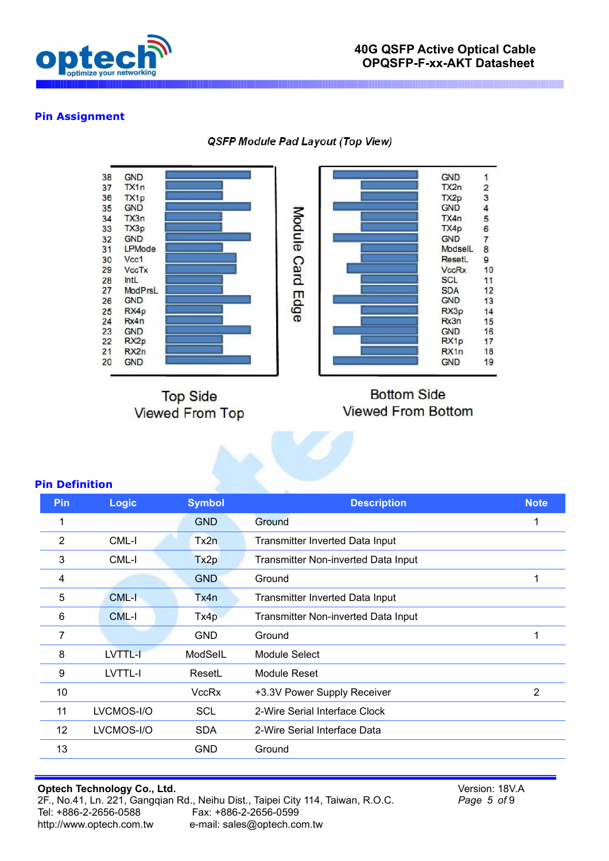

### **Pin Assignment**

QSFP Module Pad Layout (Top View)



**Top Side Viewed From Top** 

# **Bottom Side Viewed From Bottom**

#### **Pin Definition**

| Pin             | <b>Logic</b> | <b>Symbol</b>    | <b>Description</b>                  | <b>Note</b> |
|-----------------|--------------|------------------|-------------------------------------|-------------|
| 1               |              | <b>GND</b>       | Ground                              | 1           |
| 2               | CML-I        | Tx2n             | Transmitter Inverted Data Input     |             |
| 3               | CML-I        | Tx <sub>2p</sub> | Transmitter Non-inverted Data Input |             |
| 4               |              | <b>GND</b>       | Ground                              | 1           |
| 5               | CML-I        | Tx4n             | Transmitter Inverted Data Input     |             |
| 6               | CML-I        | Tx4p             | Transmitter Non-inverted Data Input |             |
| 7               |              | <b>GND</b>       | Ground                              | 1           |
| 8               | LVTTL-I      | ModSelL          | Module Select                       |             |
| 9               | LVTTL-I      | ResetL           | Module Reset                        |             |
| 10              |              | <b>VccRx</b>     | +3.3V Power Supply Receiver         | 2           |
| 11              | LVCMOS-I/O   | <b>SCL</b>       | 2-Wire Serial Interface Clock       |             |
| 12 <sup>°</sup> | LVCMOS-I/O   | <b>SDA</b>       | 2-Wire Serial Interface Data        |             |
| 13              |              | <b>GND</b>       | Ground                              |             |
|                 |              |                  |                                     |             |

#### **Optech Technology Co., Ltd.** 2F., No.41, Ln. 221, Gangqian Rd., Neihu Dist., Taipei City 114, Taiwan, R.O.C. Tel: +886-2-2656-0588 Fax: +886-2-2656-0599 [http://www.optech.com.tw](http://www.optech.com.tw/) e-mail: sales@optech.com.tw

Version: 18V.A *Page 5 of* 9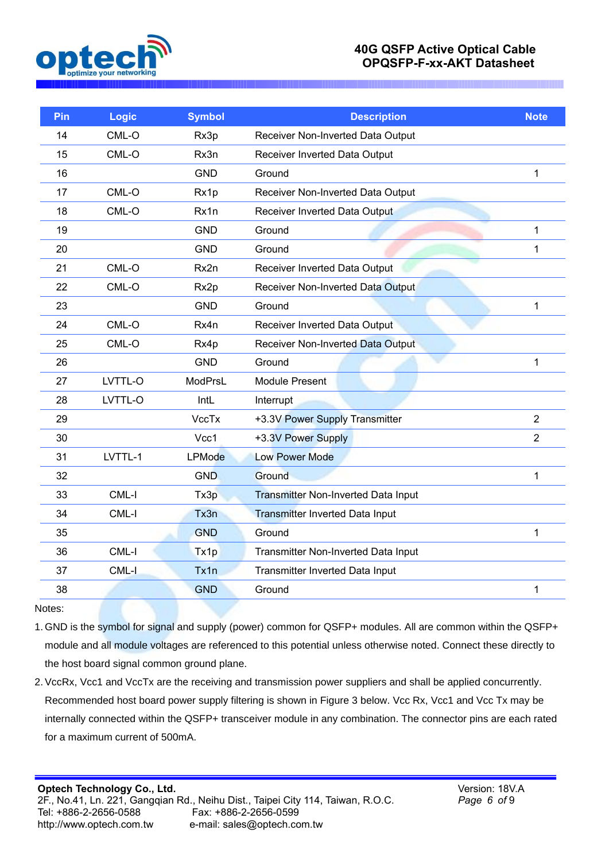

## **40G QSFP Active Optical Cable OPQSFP-F-xx-AKT Datasheet**

| Pin | Logic   | <b>Symbol</b> | <b>Description</b>                         | <b>Note</b>    |
|-----|---------|---------------|--------------------------------------------|----------------|
| 14  | CML-O   | Rx3p          | Receiver Non-Inverted Data Output          |                |
| 15  | CML-O   | Rx3n          | Receiver Inverted Data Output              |                |
| 16  |         | <b>GND</b>    | Ground                                     | 1              |
| 17  | CML-O   | Rx1p          | Receiver Non-Inverted Data Output          |                |
| 18  | CML-O   | Rx1n          | Receiver Inverted Data Output              |                |
| 19  |         | <b>GND</b>    | Ground                                     | 1              |
| 20  |         | <b>GND</b>    | Ground                                     | 1              |
| 21  | CML-O   | Rx2n          | Receiver Inverted Data Output              |                |
| 22  | CML-O   | Rx2p          | Receiver Non-Inverted Data Output          |                |
| 23  |         | <b>GND</b>    | Ground                                     | 1              |
| 24  | CML-O   | Rx4n          | Receiver Inverted Data Output              |                |
| 25  | CML-O   | Rx4p          | Receiver Non-Inverted Data Output          |                |
| 26  |         | <b>GND</b>    | Ground                                     | $\mathbf{1}$   |
| 27  | LVTTL-O | ModPrsL       | <b>Module Present</b>                      |                |
| 28  | LVTTL-O | IntL          | Interrupt                                  |                |
| 29  |         | <b>VccTx</b>  | +3.3V Power Supply Transmitter             | $\overline{2}$ |
| 30  |         | Vcc1          | +3.3V Power Supply                         | $\overline{2}$ |
| 31  | LVTTL-1 | <b>LPMode</b> | <b>Low Power Mode</b>                      |                |
| 32  |         | <b>GND</b>    | Ground                                     | 1              |
| 33  | CML-I   | Tx3p          | <b>Transmitter Non-Inverted Data Input</b> |                |
| 34  | CML-I   | Tx3n          | <b>Transmitter Inverted Data Input</b>     |                |
| 35  |         | <b>GND</b>    | Ground                                     | 1              |
| 36  | CML-I   | Tx1p          | Transmitter Non-Inverted Data Input        |                |
| 37  | CML-I   | Tx1n          | Transmitter Inverted Data Input            |                |
| 38  |         | <b>GND</b>    | Ground                                     | 1              |
|     |         |               |                                            |                |

Notes:

1. GND is the symbol for signal and supply (power) common for QSFP+ modules. All are common within the QSFP+ module and all module voltages are referenced to this potential unless otherwise noted. Connect these directly to the host board signal common ground plane.

2. VccRx, Vcc1 and VccTx are the receiving and transmission power suppliers and shall be applied concurrently. Recommended host board power supply filtering is shown in Figure 3 below. Vcc Rx, Vcc1 and Vcc Tx may be internally connected within the QSFP+ transceiver module in any combination. The connector pins are each rated for a maximum current of 500mA.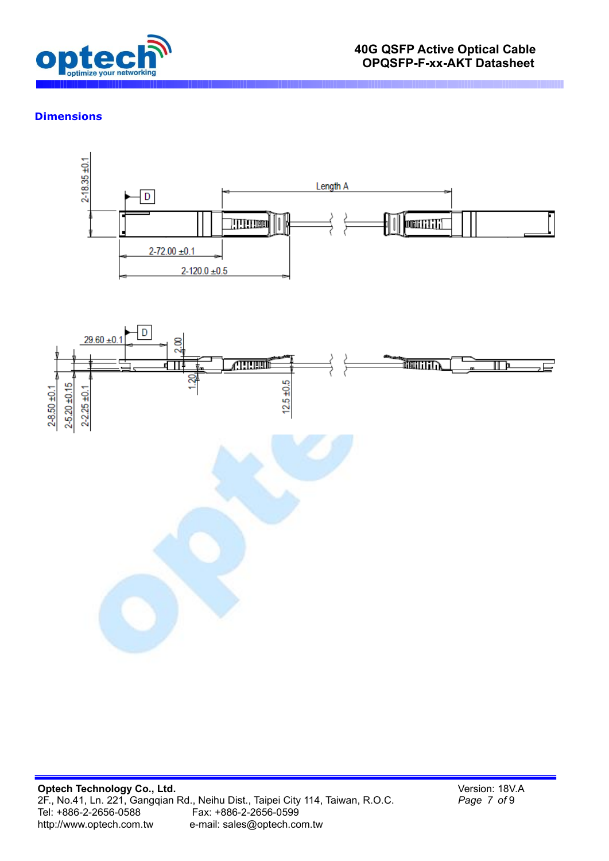

### **Dimensions**



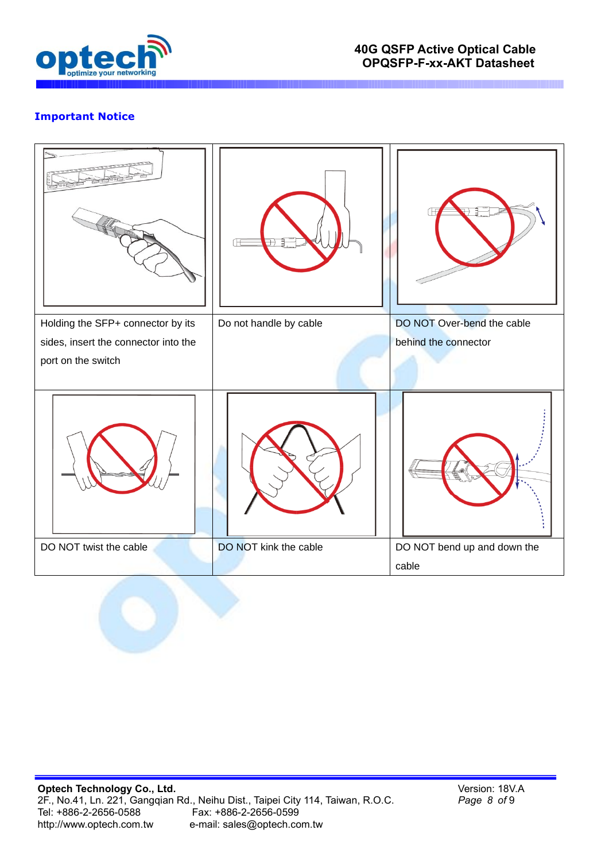

# **Important Notice**